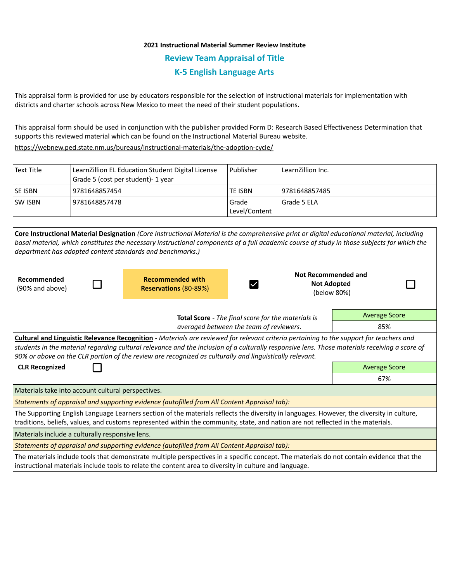## **2021 Instructional Material Summer Review Institute Review Team Appraisal of Title K-5 English Language Arts**

This appraisal form is provided for use by educators responsible for the selection of instructional materials for implementation with districts and charter schools across New Mexico to meet the need of their student populations.

This appraisal form should be used in conjunction with the publisher provided Form D: Research Based Effectiveness Determination that supports this reviewed material which can be found on the Instructional Material Bureau website.

<https://webnew.ped.state.nm.us/bureaus/instructional-materials/the-adoption-cycle/>

| Text Title     | LearnZillion EL Education Student Digital License<br>Grade 5 (cost per student) - 1 year | Publisher                | LearnZillion Inc. |
|----------------|------------------------------------------------------------------------------------------|--------------------------|-------------------|
| <b>SE ISBN</b> | 9781648857454                                                                            | TE ISBN                  | 9781648857485     |
| <b>SW ISBN</b> | 9781648857478                                                                            | Grade<br>l Level/Content | Grade 5 ELA       |

|                                                                                                                                                                                                                                                                                                                                                                                                     |                                                    |                                                         | Core Instructional Material Designation (Core Instructional Material is the comprehensive print or digital educational material, including |                                                          |  |  |  |  |
|-----------------------------------------------------------------------------------------------------------------------------------------------------------------------------------------------------------------------------------------------------------------------------------------------------------------------------------------------------------------------------------------------------|----------------------------------------------------|---------------------------------------------------------|--------------------------------------------------------------------------------------------------------------------------------------------|----------------------------------------------------------|--|--|--|--|
| basal material, which constitutes the necessary instructional components of a full academic course of study in those subjects for which the                                                                                                                                                                                                                                                         |                                                    |                                                         |                                                                                                                                            |                                                          |  |  |  |  |
| department has adopted content standards and benchmarks.)                                                                                                                                                                                                                                                                                                                                           |                                                    |                                                         |                                                                                                                                            |                                                          |  |  |  |  |
| Recommended<br>(90% and above)                                                                                                                                                                                                                                                                                                                                                                      |                                                    | <b>Recommended with</b><br><b>Reservations (80-89%)</b> | $\blacktriangledown$                                                                                                                       | Not Recommended and<br><b>Not Adopted</b><br>(below 80%) |  |  |  |  |
|                                                                                                                                                                                                                                                                                                                                                                                                     | Total Score - The final score for the materials is |                                                         |                                                                                                                                            | <b>Average Score</b>                                     |  |  |  |  |
| averaged between the team of reviewers.                                                                                                                                                                                                                                                                                                                                                             |                                                    |                                                         |                                                                                                                                            | 85%                                                      |  |  |  |  |
| Cultural and Linguistic Relevance Recognition - Materials are reviewed for relevant criteria pertaining to the support for teachers and<br>students in the material regarding cultural relevance and the inclusion of a culturally responsive lens. Those materials receiving a score of<br>90% or above on the CLR portion of the review are recognized as culturally and linguistically relevant. |                                                    |                                                         |                                                                                                                                            |                                                          |  |  |  |  |
| <b>CLR Recognized</b>                                                                                                                                                                                                                                                                                                                                                                               | <b>Average Score</b>                               |                                                         |                                                                                                                                            |                                                          |  |  |  |  |
|                                                                                                                                                                                                                                                                                                                                                                                                     |                                                    |                                                         |                                                                                                                                            | 67%                                                      |  |  |  |  |
| Materials take into account cultural perspectives.                                                                                                                                                                                                                                                                                                                                                  |                                                    |                                                         |                                                                                                                                            |                                                          |  |  |  |  |
| Statements of appraisal and supporting evidence (autofilled from All Content Appraisal tab):                                                                                                                                                                                                                                                                                                        |                                                    |                                                         |                                                                                                                                            |                                                          |  |  |  |  |
| The Supporting English Language Learners section of the materials reflects the diversity in languages. However, the diversity in culture,<br>traditions, beliefs, values, and customs represented within the community, state, and nation are not reflected in the materials.                                                                                                                       |                                                    |                                                         |                                                                                                                                            |                                                          |  |  |  |  |
| Materials include a culturally responsive lens.                                                                                                                                                                                                                                                                                                                                                     |                                                    |                                                         |                                                                                                                                            |                                                          |  |  |  |  |
| Statements of appraisal and supporting evidence (autofilled from All Content Appraisal tab):                                                                                                                                                                                                                                                                                                        |                                                    |                                                         |                                                                                                                                            |                                                          |  |  |  |  |
| The materials include tools that demonstrate multiple perspectives in a specific concept. The materials do not contain evidence that the<br>instructional materials include tools to relate the content area to diversity in culture and language.                                                                                                                                                  |                                                    |                                                         |                                                                                                                                            |                                                          |  |  |  |  |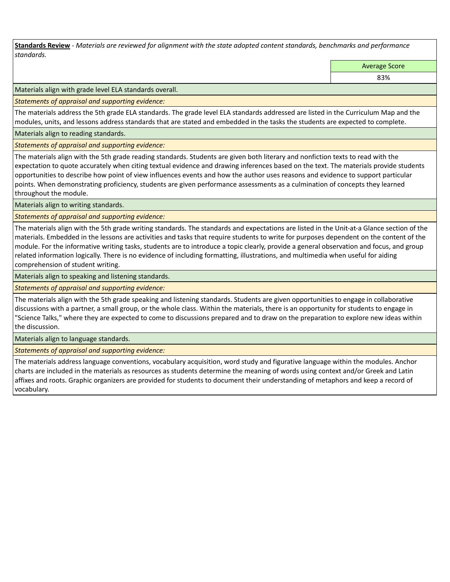**Standards Review** *- Materials are reviewed for alignment with the state adopted content standards, benchmarks and performance standards.*

Average Score

83%

Materials align with grade level ELA standards overall.

*Statements of appraisal and supporting evidence:* 

The materials address the 5th grade ELA standards. The grade level ELA standards addressed are listed in the Curriculum Map and the modules, units, and lessons address standards that are stated and embedded in the tasks the students are expected to complete.

Materials align to reading standards.

*Statements of appraisal and supporting evidence:* 

The materials align with the 5th grade reading standards. Students are given both literary and nonfiction texts to read with the expectation to quote accurately when citing textual evidence and drawing inferences based on the text. The materials provide students opportunities to describe how point of view influences events and how the author uses reasons and evidence to support particular points. When demonstrating proficiency, students are given performance assessments as a culmination of concepts they learned throughout the module.

Materials align to writing standards.

*Statements of appraisal and supporting evidence:* 

The materials align with the 5th grade writing standards. The standards and expectations are listed in the Unit-at-a Glance section of the materials. Embedded in the lessons are activities and tasks that require students to write for purposes dependent on the content of the module. For the informative writing tasks, students are to introduce a topic clearly, provide a general observation and focus, and group related information logically. There is no evidence of including formatting, illustrations, and multimedia when useful for aiding comprehension of student writing.

Materials align to speaking and listening standards.

*Statements of appraisal and supporting evidence:* 

The materials align with the 5th grade speaking and listening standards. Students are given opportunities to engage in collaborative discussions with a partner, a small group, or the whole class. Within the materials, there is an opportunity for students to engage in "Science Talks," where they are expected to come to discussions prepared and to draw on the preparation to explore new ideas within the discussion.

Materials align to language standards.

*Statements of appraisal and supporting evidence:* 

The materials address language conventions, vocabulary acquisition, word study and figurative language within the modules. Anchor charts are included in the materials as resources as students determine the meaning of words using context and/or Greek and Latin affixes and roots. Graphic organizers are provided for students to document their understanding of metaphors and keep a record of vocabulary.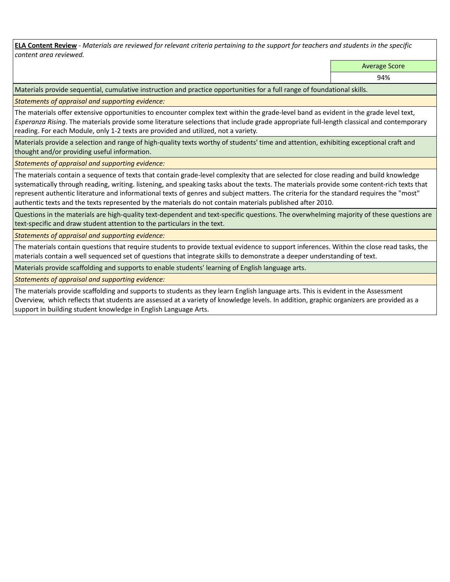**ELA Content Review** *- Materials are reviewed for relevant criteria pertaining to the support for teachers and students in the specific content area reviewed.*

Average Score

94%

Materials provide sequential, cumulative instruction and practice opportunities for a full range of foundational skills.

*Statements of appraisal and supporting evidence:* 

The materials offer extensive opportunities to encounter complex text within the grade-level band as evident in the grade level text, *Esperanza Rising*. The materials provide some literature selections that include grade appropriate full-length classical and contemporary reading. For each Module, only 1-2 texts are provided and utilized, not a variety.

Materials provide a selection and range of high-quality texts worthy of students' time and attention, exhibiting exceptional craft and thought and/or providing useful information.

*Statements of appraisal and supporting evidence:* 

The materials contain a sequence of texts that contain grade-level complexity that are selected for close reading and build knowledge systematically through reading, writing. listening, and speaking tasks about the texts. The materials provide some content-rich texts that represent authentic literature and informational texts of genres and subject matters. The criteria for the standard requires the "most" authentic texts and the texts represented by the materials do not contain materials published after 2010.

Questions in the materials are high-quality text-dependent and text-specific questions. The overwhelming majority of these questions are text-specific and draw student attention to the particulars in the text.

*Statements of appraisal and supporting evidence:* 

The materials contain questions that require students to provide textual evidence to support inferences. Within the close read tasks, the materials contain a well sequenced set of questions that integrate skills to demonstrate a deeper understanding of text.

Materials provide scaffolding and supports to enable students' learning of English language arts.

*Statements of appraisal and supporting evidence:* 

The materials provide scaffolding and supports to students as they learn English language arts. This is evident in the Assessment Overview, which reflects that students are assessed at a variety of knowledge levels. In addition, graphic organizers are provided as a support in building student knowledge in English Language Arts.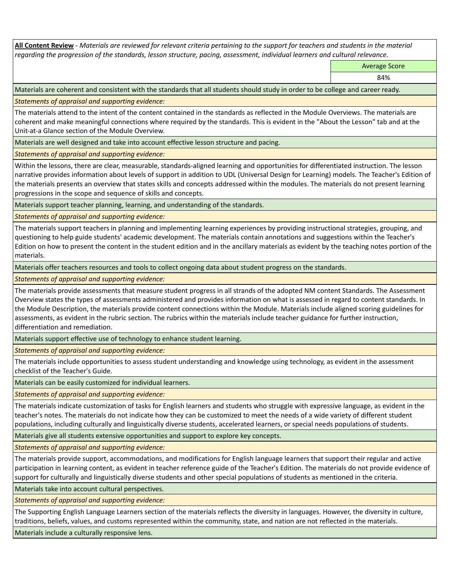**All Content Review** *- Materials are reviewed for relevant criteria pertaining to the support for teachers and students in the material regarding the progression of the standards, lesson structure, pacing, assessment, individual learners and cultural relevance.*

Average Score

84%

Materials are coherent and consistent with the standards that all students should study in order to be college and career ready.

*Statements of appraisal and supporting evidence:*

The materials attend to the intent of the content contained in the standards as reflected in the Module Overviews. The materials are coherent and make meaningful connections where required by the standards. This is evident in the "About the Lesson" tab and at the Unit-at-a Glance section of the Module Overview.

Materials are well designed and take into account effective lesson structure and pacing.

*Statements of appraisal and supporting evidence:*

Within the lessons, there are clear, measurable, standards-aligned learning and opportunities for differentiated instruction. The lesson narrative provides information about levels of support in addition to UDL (Universal Design for Learning) models. The Teacher's Edition of the materials presents an overview that states skills and concepts addressed within the modules. The materials do not present learning progressions in the scope and sequence of skills and concepts.

Materials support teacher planning, learning, and understanding of the standards.

*Statements of appraisal and supporting evidence:*

The materials support teachers in planning and implementing learning experiences by providing instructional strategies, grouping, and questioning to help guide students' academic development. The materials contain annotations and suggestions within the Teacher's Edition on how to present the content in the student edition and in the ancillary materials as evident by the teaching notes portion of the materials.

Materials offer teachers resources and tools to collect ongoing data about student progress on the standards.

*Statements of appraisal and supporting evidence:*

The materials provide assessments that measure student progress in all strands of the adopted NM content Standards. The Assessment Overview states the types of assessments administered and provides information on what is assessed in regard to content standards. In the Module Description, the materials provide content connections within the Module. Materials include aligned scoring guidelines for assessments, as evident in the rubric section. The rubrics within the materials include teacher guidance for further instruction, differentiation and remediation.

Materials support effective use of technology to enhance student learning.

*Statements of appraisal and supporting evidence:*

The materials include opportunities to assess student understanding and knowledge using technology, as evident in the assessment checklist of the Teacher's Guide.

Materials can be easily customized for individual learners.

*Statements of appraisal and supporting evidence:* 

The materials indicate customization of tasks for English learners and students who struggle with expressive language, as evident in the teacher's notes. The materials do not indicate how they can be customized to meet the needs of a wide variety of different student populations, including culturally and linguistically diverse students, accelerated learners, or special needs populations of students.

Materials give all students extensive opportunities and support to explore key concepts.

*Statements of appraisal and supporting evidence:*

The materials provide support, accommodations, and modifications for English language learners that support their regular and active participation in learning content, as evident in teacher reference guide of the Teacher's Edition. The materials do not provide evidence of support for culturally and linguistically diverse students and other special populations of students as mentioned in the criteria.

Materials take into account cultural perspectives.

*Statements of appraisal and supporting evidence:*

The Supporting English Language Learners section of the materials reflects the diversity in languages. However, the diversity in culture, traditions, beliefs, values, and customs represented within the community, state, and nation are not reflected in the materials.

Materials include a culturally responsive lens.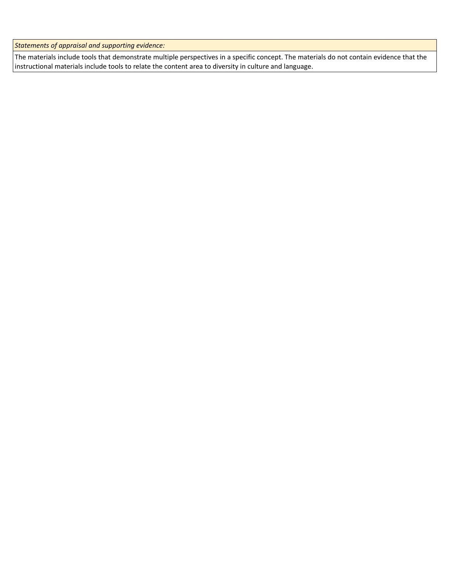*Statements of appraisal and supporting evidence:*

The materials include tools that demonstrate multiple perspectives in a specific concept. The materials do not contain evidence that the instructional materials include tools to relate the content area to diversity in culture and language.